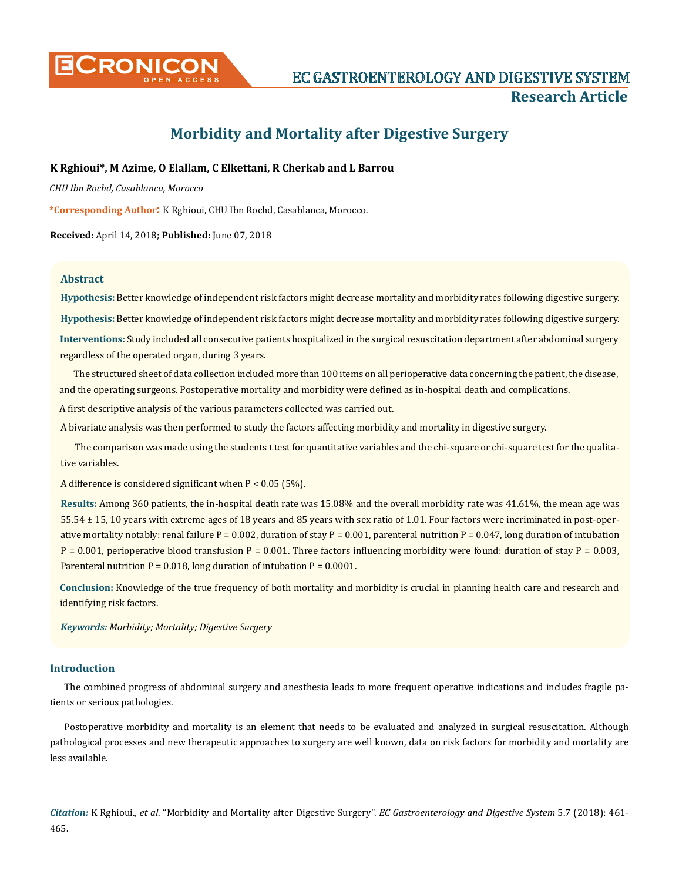

# **Morbidity and Mortality after Digestive Surgery**

# **K Rghioui\*, M Azime, O Elallam, C Elkettani, R Cherkab and L Barrou**

*CHU Ibn Rochd, Casablanca, Morocco*

**\*Corresponding Author**: K Rghioui, CHU Ibn Rochd, Casablanca, Morocco.

**Received:** April 14, 2018; **Published:** June 07, 2018

#### **Abstract**

**Hypothesis:** Better knowledge of independent risk factors might decrease mortality and morbidity rates following digestive surgery.

**Hypothesis:** Better knowledge of independent risk factors might decrease mortality and morbidity rates following digestive surgery.

**Interventions:** Study included all consecutive patients hospitalized in the surgical resuscitation department after abdominal surgery regardless of the operated organ, during 3 years.

The structured sheet of data collection included more than 100 items on all perioperative data concerning the patient, the disease, and the operating surgeons. Postoperative mortality and morbidity were defined as in-hospital death and complications.

A first descriptive analysis of the various parameters collected was carried out.

A bivariate analysis was then performed to study the factors affecting morbidity and mortality in digestive surgery.

The comparison was made using the students t test for quantitative variables and the chi-square or chi-square test for the qualitative variables.

A difference is considered significant when P < 0.05 (5%).

**Results:** Among 360 patients, the in-hospital death rate was 15.08% and the overall morbidity rate was 41.61%, the mean age was 55.54 ± 15, 10 years with extreme ages of 18 years and 85 years with sex ratio of 1.01. Four factors were incriminated in post-operative mortality notably: renal failure P = 0.002, duration of stay P = 0.001, parenteral nutrition P = 0.047, long duration of intubation  $P = 0.001$ , perioperative blood transfusion P = 0.001. Three factors influencing morbidity were found: duration of stay P = 0.003, Parenteral nutrition  $P = 0.018$ , long duration of intubation  $P = 0.0001$ .

**Conclusion:** Knowledge of the true frequency of both mortality and morbidity is crucial in planning health care and research and identifying risk factors.

*Keywords: Morbidity; Mortality; Digestive Surgery*

#### **Introduction**

The combined progress of abdominal surgery and anesthesia leads to more frequent operative indications and includes fragile patients or serious pathologies.

Postoperative morbidity and mortality is an element that needs to be evaluated and analyzed in surgical resuscitation. Although pathological processes and new therapeutic approaches to surgery are well known, data on risk factors for morbidity and mortality are less available.

*Citation:* K Rghioui., *et al*. "Morbidity and Mortality after Digestive Surgery". *EC Gastroenterology and Digestive System* 5.7 (2018): 461- 465.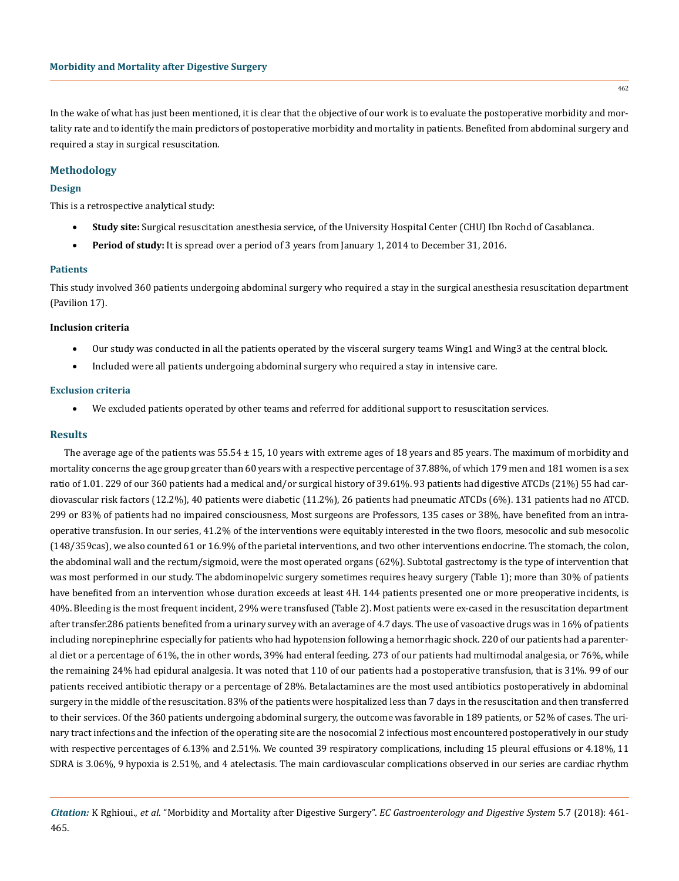In the wake of what has just been mentioned, it is clear that the objective of our work is to evaluate the postoperative morbidity and mortality rate and to identify the main predictors of postoperative morbidity and mortality in patients. Benefited from abdominal surgery and required a stay in surgical resuscitation.

# **Methodology**

# **Design**

This is a retrospective analytical study:

- **Study site:** Surgical resuscitation anesthesia service, of the University Hospital Center (CHU) Ibn Rochd of Casablanca.
- **Period of study:** It is spread over a period of 3 years from January 1, 2014 to December 31, 2016.

# **Patients**

This study involved 360 patients undergoing abdominal surgery who required a stay in the surgical anesthesia resuscitation department (Pavilion 17).

#### **Inclusion criteria**

- Our study was conducted in all the patients operated by the visceral surgery teams Wing1 and Wing3 at the central block.
- Included were all patients undergoing abdominal surgery who required a stay in intensive care.

#### **Exclusion criteria**

• We excluded patients operated by other teams and referred for additional support to resuscitation services.

# **Results**

The average age of the patients was 55.54 ± 15, 10 years with extreme ages of 18 years and 85 years. The maximum of morbidity and mortality concerns the age group greater than 60 years with a respective percentage of 37.88%, of which 179 men and 181 women is a sex ratio of 1.01. 229 of our 360 patients had a medical and/or surgical history of 39.61%. 93 patients had digestive ATCDs (21%) 55 had cardiovascular risk factors (12.2%), 40 patients were diabetic (11.2%), 26 patients had pneumatic ATCDs (6%). 131 patients had no ATCD. 299 or 83% of patients had no impaired consciousness, Most surgeons are Professors, 135 cases or 38%, have benefited from an intraoperative transfusion. In our series, 41.2% of the interventions were equitably interested in the two floors, mesocolic and sub mesocolic (148/359cas), we also counted 61 or 16.9% of the parietal interventions, and two other interventions endocrine. The stomach, the colon, the abdominal wall and the rectum/sigmoid, were the most operated organs (62%). Subtotal gastrectomy is the type of intervention that was most performed in our study. The abdominopelvic surgery sometimes requires heavy surgery (Table 1); more than 30% of patients have benefited from an intervention whose duration exceeds at least 4H. 144 patients presented one or more preoperative incidents, is 40%. Bleeding is the most frequent incident, 29% were transfused (Table 2). Most patients were ex-cased in the resuscitation department after transfer.286 patients benefited from a urinary survey with an average of 4.7 days. The use of vasoactive drugs was in 16% of patients including norepinephrine especially for patients who had hypotension following a hemorrhagic shock. 220 of our patients had a parenteral diet or a percentage of 61%, the in other words, 39% had enteral feeding. 273 of our patients had multimodal analgesia, or 76%, while the remaining 24% had epidural analgesia. It was noted that 110 of our patients had a postoperative transfusion, that is 31%. 99 of our patients received antibiotic therapy or a percentage of 28%. Betalactamines are the most used antibiotics postoperatively in abdominal surgery in the middle of the resuscitation. 83% of the patients were hospitalized less than 7 days in the resuscitation and then transferred to their services. Of the 360 patients undergoing abdominal surgery, the outcome was favorable in 189 patients, or 52% of cases. The urinary tract infections and the infection of the operating site are the nosocomial 2 infectious most encountered postoperatively in our study with respective percentages of 6.13% and 2.51%. We counted 39 respiratory complications, including 15 pleural effusions or 4.18%, 11 SDRA is 3.06%, 9 hypoxia is 2.51%, and 4 atelectasis. The main cardiovascular complications observed in our series are cardiac rhythm

*Citation:* K Rghioui., *et al*. "Morbidity and Mortality after Digestive Surgery". *EC Gastroenterology and Digestive System* 5.7 (2018): 461- 465.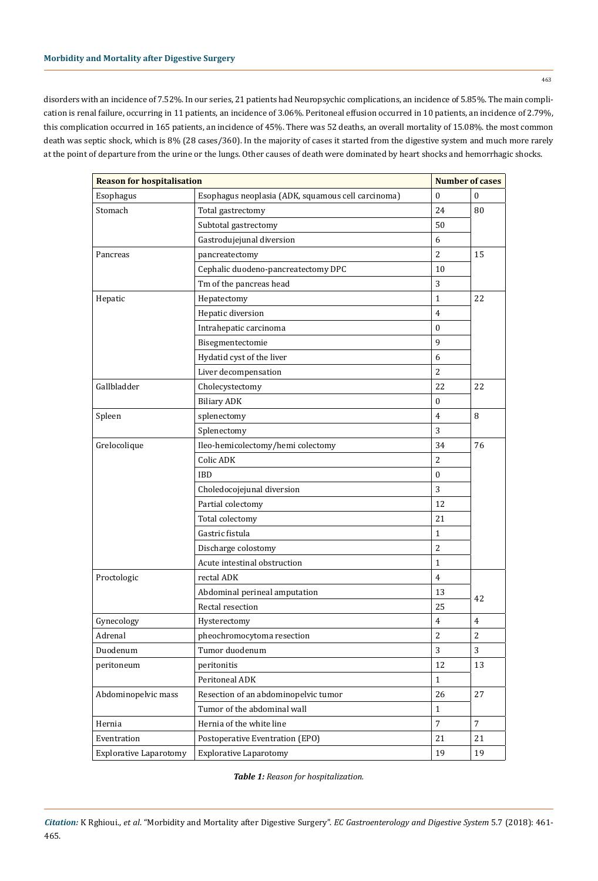disorders with an incidence of 7.52%. In our series, 21 patients had Neuropsychic complications, an incidence of 5.85%. The main complication is renal failure, occurring in 11 patients, an incidence of 3.06%. Peritoneal effusion occurred in 10 patients, an incidence of 2.79%, this complication occurred in 165 patients, an incidence of 45%. There was 52 deaths, an overall mortality of 15.08%. the most common death was septic shock, which is 8% (28 cases/360). In the majority of cases it started from the digestive system and much more rarely at the point of departure from the urine or the lungs. Other causes of death were dominated by heart shocks and hemorrhagic shocks.

| <b>Reason for hospitalisation</b> |                                                    | <b>Number of cases</b> |                |
|-----------------------------------|----------------------------------------------------|------------------------|----------------|
| Esophagus                         | Esophagus neoplasia (ADK, squamous cell carcinoma) | $\mathbf{0}$           | $\mathbf{0}$   |
| Stomach                           | Total gastrectomy                                  | 24                     | 80             |
|                                   | Subtotal gastrectomy                               | 50                     |                |
|                                   | Gastrodujejunal diversion                          | 6                      |                |
| Pancreas                          | pancreatectomy                                     | $\overline{c}$         | 15             |
|                                   | Cephalic duodeno-pancreatectomy DPC                | 10                     |                |
|                                   | Tm of the pancreas head                            | 3                      |                |
| Hepatic                           | Hepatectomy                                        | $\mathbf{1}$           | 22             |
|                                   | Hepatic diversion                                  | $\overline{4}$         |                |
|                                   | Intrahepatic carcinoma                             | $\bf{0}$               |                |
|                                   | Bisegmentectomie                                   | 9                      |                |
|                                   | Hydatid cyst of the liver                          | 6                      |                |
|                                   | Liver decompensation                               | $\overline{c}$         |                |
| Gallbladder                       | Cholecystectomy                                    | 22                     | 22             |
|                                   | <b>Biliary ADK</b>                                 | $\mathbf{0}$           |                |
| Spleen                            | splenectomy                                        | 4                      | 8              |
|                                   | Splenectomy                                        | 3                      |                |
| Grelocolique                      | Ileo-hemicolectomy/hemi colectomy                  | 34                     | 76             |
|                                   | Colic ADK                                          | $\overline{c}$         |                |
|                                   | <b>IBD</b>                                         | $\mathbf{0}$           |                |
|                                   | Choledocojejunal diversion                         | 3                      |                |
|                                   | Partial colectomy                                  | 12                     |                |
|                                   | Total colectomy                                    | 21                     |                |
|                                   | Gastric fistula                                    | $\mathbf{1}$           |                |
|                                   | Discharge colostomy                                | $\overline{2}$         |                |
|                                   | Acute intestinal obstruction                       | $\mathbf{1}$           |                |
| Proctologic                       | rectal ADK                                         | $\overline{4}$         |                |
|                                   | Abdominal perineal amputation                      | 13                     |                |
|                                   | Rectal resection                                   | 25                     | 42             |
| Gynecology                        | Hysterectomy                                       | 4                      | 4              |
| Adrenal                           | pheochromocytoma resection                         | $\overline{2}$         | 2              |
| Duodenum                          | Tumor duodenum                                     | 3                      | 3              |
| peritoneum                        | peritonitis                                        | 12                     | 13             |
|                                   | Peritoneal ADK                                     | $\mathbf{1}$           |                |
| Abdominopelvic mass               | Resection of an abdominopelvic tumor               | 26                     | 27             |
|                                   | Tumor of the abdominal wall                        | $\mathbf{1}$           |                |
| Hernia                            | Hernia of the white line                           | $\overline{7}$         | $\overline{7}$ |
| Eventration                       | Postoperative Eventration (EPO)                    | 21                     | 21             |
| <b>Explorative Laparotomy</b>     | <b>Explorative Laparotomy</b>                      | 19                     | 19             |

*Table 1: Reason for hospitalization.*

*Citation:* K Rghioui., *et al*. "Morbidity and Mortality after Digestive Surgery". *EC Gastroenterology and Digestive System* 5.7 (2018): 461- 465.

463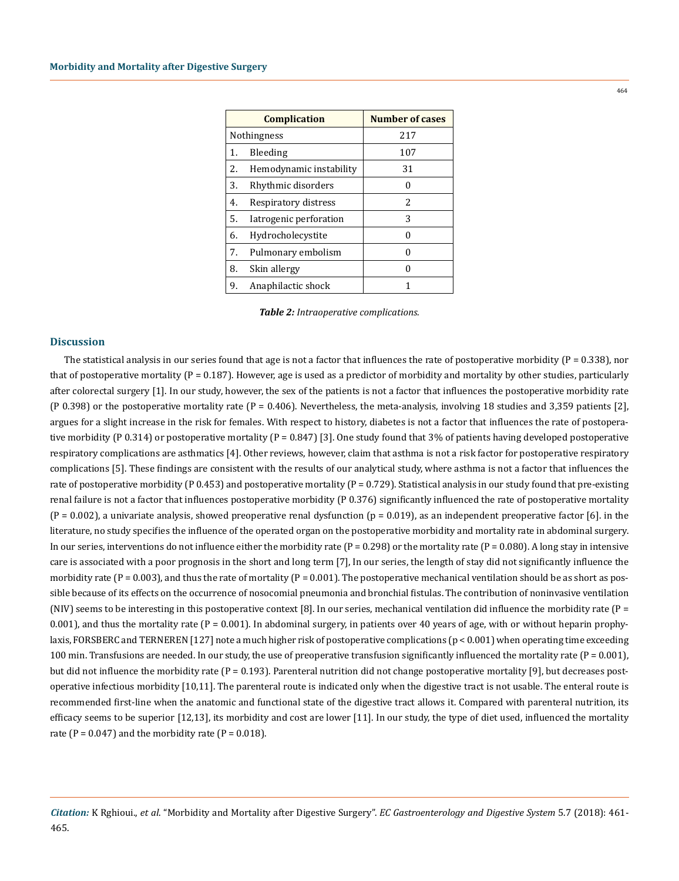| <b>Complication</b> |                         | <b>Number of cases</b> |
|---------------------|-------------------------|------------------------|
| Nothingness         |                         | 217                    |
| 1.                  | Bleeding                | 107                    |
| 2.                  | Hemodynamic instability | 31                     |
| 3.                  | Rhythmic disorders      |                        |
| 4.                  | Respiratory distress    | 2                      |
| 5.                  | Iatrogenic perforation  | 3                      |
| 6.                  | Hydrocholecystite       |                        |
| 7.                  | Pulmonary embolism      |                        |
| 8.                  | Skin allergy            |                        |
| 9.                  | Anaphilactic shock      |                        |

*Table 2: Intraoperative complications.*

#### **Discussion**

The statistical analysis in our series found that age is not a factor that influences the rate of postoperative morbidity ( $P = 0.338$ ), nor that of postoperative mortality ( $P = 0.187$ ). However, age is used as a predictor of morbidity and mortality by other studies, particularly after colorectal surgery [1]. In our study, however, the sex of the patients is not a factor that influences the postoperative morbidity rate (P 0.398) or the postoperative mortality rate (P = 0.406). Nevertheless, the meta-analysis, involving 18 studies and 3,359 patients [2], argues for a slight increase in the risk for females. With respect to history, diabetes is not a factor that influences the rate of postoperative morbidity (P 0.314) or postoperative mortality (P = 0.847) [3]. One study found that 3% of patients having developed postoperative respiratory complications are asthmatics [4]. Other reviews, however, claim that asthma is not a risk factor for postoperative respiratory complications [5]. These findings are consistent with the results of our analytical study, where asthma is not a factor that influences the rate of postoperative morbidity (P 0.453) and postoperative mortality (P = 0.729). Statistical analysis in our study found that pre-existing renal failure is not a factor that influences postoperative morbidity (P 0.376) significantly influenced the rate of postoperative mortality  $(P = 0.002)$ , a univariate analysis, showed preoperative renal dysfunction  $(p = 0.019)$ , as an independent preoperative factor [6]. in the literature, no study specifies the influence of the operated organ on the postoperative morbidity and mortality rate in abdominal surgery. In our series, interventions do not influence either the morbidity rate ( $P = 0.298$ ) or the mortality rate ( $P = 0.080$ ). A long stay in intensive care is associated with a poor prognosis in the short and long term [7], In our series, the length of stay did not significantly influence the morbidity rate ( $P = 0.003$ ), and thus the rate of mortality ( $P = 0.001$ ). The postoperative mechanical ventilation should be as short as possible because of its effects on the occurrence of nosocomial pneumonia and bronchial fistulas. The contribution of noninvasive ventilation (NIV) seems to be interesting in this postoperative context [8]. In our series, mechanical ventilation did influence the morbidity rate (P = 0.001), and thus the mortality rate ( $P = 0.001$ ). In abdominal surgery, in patients over 40 years of age, with or without heparin prophylaxis, FORSBERC and TERNEREN [127] note a much higher risk of postoperative complications (p < 0.001) when operating time exceeding 100 min. Transfusions are needed. In our study, the use of preoperative transfusion significantly influenced the mortality rate  $(P = 0.001)$ , but did not influence the morbidity rate  $(P = 0.193)$ . Parenteral nutrition did not change postoperative mortality [9], but decreases postoperative infectious morbidity [10,11]. The parenteral route is indicated only when the digestive tract is not usable. The enteral route is recommended first-line when the anatomic and functional state of the digestive tract allows it. Compared with parenteral nutrition, its efficacy seems to be superior [12,13], its morbidity and cost are lower [11]. In our study, the type of diet used, influenced the mortality rate ( $P = 0.047$ ) and the morbidity rate ( $P = 0.018$ ).

*Citation:* K Rghioui., *et al*. "Morbidity and Mortality after Digestive Surgery". *EC Gastroenterology and Digestive System* 5.7 (2018): 461- 465.